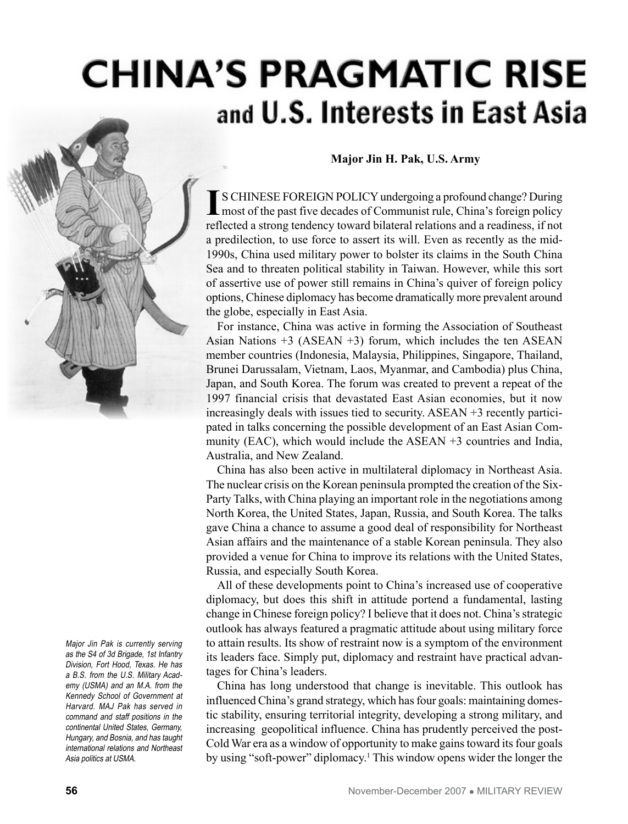# **CHINA'S PRAGMATIC RISE** and U.S. Interests in East Asia



Major Jin Pak is currently serving as the S4 of 3d Brigade, 1st Infantry Division, Fort Hood, Texas. He has a B.S. from the U.S. Military Academy (USMA) and an M.A. from the Kennedy School of Government at Harvard. MAJ Pak has served in command and staff positions in the continental United States, Germany, Hungary, and Bosnia, and has taught international relations and Northeast Asia politics at USMA.

#### **Major Jin H. Pak, U.S. Army**

**I**S CHINESE FOREIGN POLICY undergoing a profound change? During most of the past five decades of Communist rule, China's foreign policy reflected a strong tendency toward bilateral relations and a readiness, if not a predilection, to use force to assert its will. Even as recently as the mid-1990s, China used military power to bolster its claims in the South China Sea and to threaten political stability in Taiwan. However, while this sort of assertive use of power still remains in China's quiver of foreign policy options, Chinese diplomacy has become dramatically more prevalent around the globe, especially in East Asia.

For instance, China was active in forming the Association of Southeast Asian Nations  $+3$  (ASEAN  $+3$ ) forum, which includes the ten ASEAN member countries (Indonesia, Malaysia, Philippines, Singapore, Thailand, Brunei Darussalam, Vietnam, Laos, Myanmar, and Cambodia) plus China, Japan, and South Korea. The forum was created to prevent a repeat of the 1997 financial crisis that devastated East Asian economies, but it now increasingly deals with issues tied to security. ASEAN +3 recently participated in talks concerning the possible development of an East Asian Community (EAC), which would include the ASEAN +3 countries and India, Australia, and New Zealand.

China has also been active in multilateral diplomacy in Northeast Asia. The nuclear crisis on the Korean peninsula prompted the creation of the Six-Party Talks, with China playing an important role in the negotiations among North Korea, the United States, Japan, Russia, and South Korea. The talks gave China a chance to assume a good deal of responsibility for Northeast Asian affairs and the maintenance of a stable Korean peninsula. They also provided a venue for China to improve its relations with the United States, Russia, and especially South Korea.

All of these developments point to China's increased use of cooperative diplomacy, but does this shift in attitude portend a fundamental, lasting change in Chinese foreign policy? I believe that it does not. China's strategic outlook has always featured a pragmatic attitude about using military force to attain results. Its show of restraint now is a symptom of the environment its leaders face. Simply put, diplomacy and restraint have practical advantages for China's leaders.

China has long understood that change is inevitable. This outlook has influenced China's grand strategy, which has four goals: maintaining domestic stability, ensuring territorial integrity, developing a strong military, and increasing geopolitical influence. China has prudently perceived the post-Cold War era as a window of opportunity to make gains toward its four goals by using "soft-power" diplomacy.<sup>1</sup> This window opens wider the longer the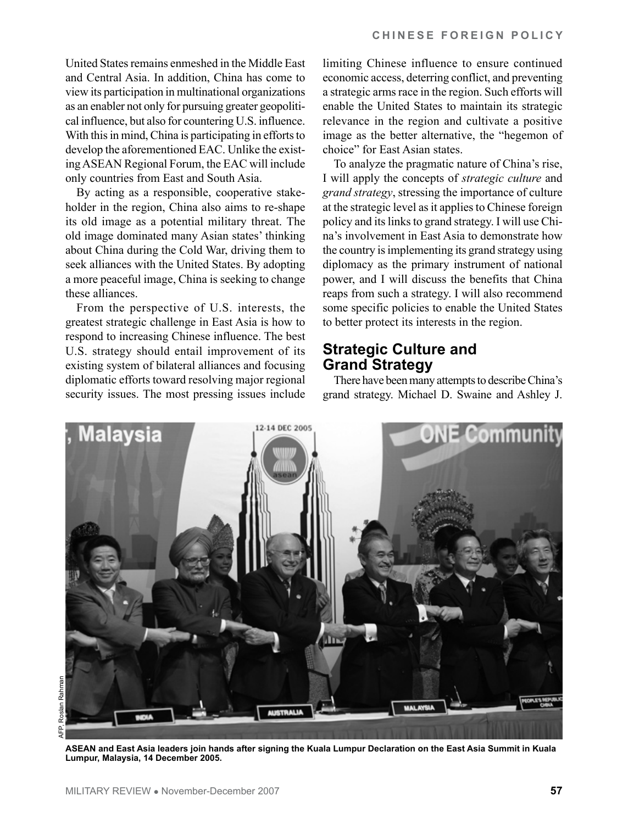United States remains enmeshed in the Middle East and Central Asia. In addition, China has come to view its participation in multinational organizations as an enabler not only for pursuing greater geopolitical influence, but also for countering U.S. influence. With this in mind, China is participating in efforts to develop the aforementioned EAC. Unlike the existing ASEAN Regional Forum, the EAC will include only countries from East and South Asia.

By acting as a responsible, cooperative stakeholder in the region, China also aims to re-shape its old image as a potential military threat. The old image dominated many Asian states' thinking about China during the Cold War, driving them to seek alliances with the United States. By adopting a more peaceful image, China is seeking to change these alliances.

From the perspective of U.S. interests, the greatest strategic challenge in East Asia is how to respond to increasing Chinese influence. The best U.S. strategy should entail improvement of its existing system of bilateral alliances and focusing diplomatic efforts toward resolving major regional security issues. The most pressing issues include limiting Chinese influence to ensure continued economic access, deterring conflict, and preventing a strategic arms race in the region. Such efforts will enable the United States to maintain its strategic relevance in the region and cultivate a positive image as the better alternative, the "hegemon of choice" for East Asian states.

To analyze the pragmatic nature of China's rise, I will apply the concepts of *strategic culture* and *grand strategy*, stressing the importance of culture at the strategic level as it applies to Chinese foreign policy and its links to grand strategy. I will use China's involvement in East Asia to demonstrate how the country is implementing its grand strategy using diplomacy as the primary instrument of national power, and I will discuss the benefits that China reaps from such a strategy. I will also recommend some specific policies to enable the United States to better protect its interests in the region.

#### **Strategic Culture and Grand Strategy**

There have been many attempts to describe China's grand strategy. Michael D. Swaine and Ashley J.



Ρ

**ASEAN and East Asia leaders join hands after signing the Kuala Lumpur Declaration on the East Asia Summit in Kuala Lumpur, Malaysia, 14 December 2005.**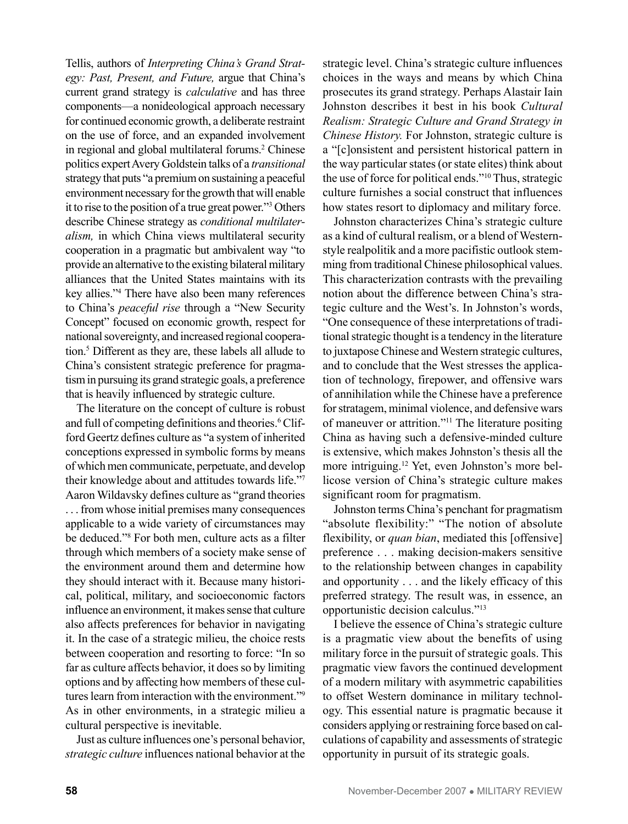Tellis, authors of *Interpreting China's Grand Strategy: Past, Present, and Future,* argue that China's current grand strategy is *calculative* and has three components—a nonideological approach necessary for continued economic growth, a deliberate restraint on the use of force, and an expanded involvement in regional and global multilateral forums.<sup>2</sup> Chinese politics expert Avery Goldstein talks of a *transitional* strategy that puts "a premium on sustaining a peaceful environment necessary for the growth that will enable it to rise to the position of a true great power."3 Others describe Chinese strategy as *conditional multilateralism,* in which China views multilateral security cooperation in a pragmatic but ambivalent way "to provide an alternative to the existing bilateral military alliances that the United States maintains with its key allies."4 There have also been many references to China's *peaceful rise* through a "New Security Concept" focused on economic growth, respect for national sovereignty, and increased regional cooperation.5 Different as they are, these labels all allude to China's consistent strategic preference for pragmatism in pursuing its grand strategic goals, a preference that is heavily influenced by strategic culture.

The literature on the concept of culture is robust and full of competing definitions and theories.<sup>6</sup> Clifford Geertz defines culture as "a system of inherited conceptions expressed in symbolic forms by means of which men communicate, perpetuate, and develop their knowledge about and attitudes towards life."7 Aaron Wildavsky defines culture as "grand theories . . . from whose initial premises many consequences applicable to a wide variety of circumstances may be deduced."8 For both men, culture acts as a filter through which members of a society make sense of the environment around them and determine how they should interact with it. Because many historical, political, military, and socioeconomic factors influence an environment, it makes sense that culture also affects preferences for behavior in navigating it. In the case of a strategic milieu, the choice rests between cooperation and resorting to force: "In so far as culture affects behavior, it does so by limiting options and by affecting how members of these cultures learn from interaction with the environment."9 As in other environments, in a strategic milieu a cultural perspective is inevitable.

Just as culture influences one's personal behavior, *strategic culture* influences national behavior at the strategic level. China's strategic culture influences choices in the ways and means by which China prosecutes its grand strategy. Perhaps Alastair Iain Johnston describes it best in his book *Cultural Realism: Strategic Culture and Grand Strategy in Chinese History.* For Johnston, strategic culture is a "[c]onsistent and persistent historical pattern in the way particular states (or state elites) think about the use of force for political ends."10 Thus, strategic culture furnishes a social construct that influences how states resort to diplomacy and military force.

Johnston characterizes China's strategic culture as a kind of cultural realism, or a blend of Westernstyle realpolitik and a more pacifistic outlook stemming from traditional Chinese philosophical values. This characterization contrasts with the prevailing notion about the difference between China's strategic culture and the West's. In Johnston's words, "One consequence of these interpretations of traditional strategic thought is a tendency in the literature to juxtapose Chinese and Western strategic cultures, and to conclude that the West stresses the application of technology, firepower, and offensive wars of annihilation while the Chinese have a preference for stratagem, minimal violence, and defensive wars of maneuver or attrition."11 The literature positing China as having such a defensive-minded culture is extensive, which makes Johnston's thesis all the more intriguing.12 Yet, even Johnston's more bellicose version of China's strategic culture makes significant room for pragmatism.

Johnston terms China's penchant for pragmatism "absolute flexibility:" "The notion of absolute flexibility, or *quan bian*, mediated this [offensive] preference . . . making decision-makers sensitive to the relationship between changes in capability and opportunity . . . and the likely efficacy of this preferred strategy. The result was, in essence, an opportunistic decision calculus."13

I believe the essence of China's strategic culture is a pragmatic view about the benefits of using military force in the pursuit of strategic goals. This pragmatic view favors the continued development of a modern military with asymmetric capabilities to offset Western dominance in military technology. This essential nature is pragmatic because it considers applying or restraining force based on calculations of capability and assessments of strategic opportunity in pursuit of its strategic goals.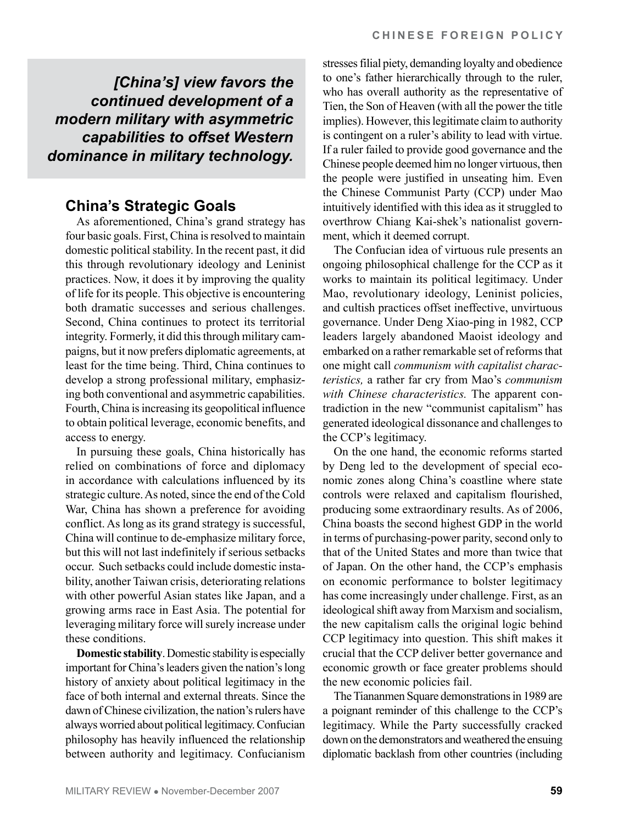*[China's] view favors the continued development of a modern military with asymmetric capabilities to offset Western dominance in military technology.*

## **China's Strategic Goals**

As aforementioned, China's grand strategy has four basic goals. First, China is resolved to maintain domestic political stability. In the recent past, it did this through revolutionary ideology and Leninist practices. Now, it does it by improving the quality of life for its people. This objective is encountering both dramatic successes and serious challenges. Second, China continues to protect its territorial integrity. Formerly, it did this through military campaigns, but it now prefers diplomatic agreements, at least for the time being. Third, China continues to develop a strong professional military, emphasizing both conventional and asymmetric capabilities. Fourth, China is increasing its geopolitical influence to obtain political leverage, economic benefits, and access to energy.

In pursuing these goals, China historically has relied on combinations of force and diplomacy in accordance with calculations influenced by its strategic culture. As noted, since the end of the Cold War, China has shown a preference for avoiding conflict. As long as its grand strategy is successful, China will continue to de-emphasize military force, but this will not last indefinitely if serious setbacks occur. Such setbacks could include domestic instability, another Taiwan crisis, deteriorating relations with other powerful Asian states like Japan, and a growing arms race in East Asia. The potential for leveraging military force will surely increase under these conditions.

**Domestic stability**. Domestic stability is especially important for China's leaders given the nation's long history of anxiety about political legitimacy in the face of both internal and external threats. Since the dawn of Chinese civilization, the nation's rulers have always worried about political legitimacy. Confucian philosophy has heavily influenced the relationship between authority and legitimacy. Confucianism

stresses filial piety, demanding loyalty and obedience to one's father hierarchically through to the ruler, who has overall authority as the representative of Tien, the Son of Heaven (with all the power the title implies). However, this legitimate claim to authority is contingent on a ruler's ability to lead with virtue. If a ruler failed to provide good governance and the Chinese people deemed him no longer virtuous, then the people were justified in unseating him. Even the Chinese Communist Party (CCP) under Mao intuitively identified with this idea as it struggled to overthrow Chiang Kai-shek's nationalist government, which it deemed corrupt.

The Confucian idea of virtuous rule presents an ongoing philosophical challenge for the CCP as it works to maintain its political legitimacy. Under Mao, revolutionary ideology, Leninist policies, and cultish practices offset ineffective, unvirtuous governance. Under Deng Xiao-ping in 1982, CCP leaders largely abandoned Maoist ideology and embarked on a rather remarkable set of reforms that one might call *communism with capitalist characteristics,* a rather far cry from Mao's *communism with Chinese characteristics.* The apparent contradiction in the new "communist capitalism" has generated ideological dissonance and challenges to the CCP's legitimacy.

On the one hand, the economic reforms started by Deng led to the development of special economic zones along China's coastline where state controls were relaxed and capitalism flourished, producing some extraordinary results. As of 2006, China boasts the second highest GDP in the world in terms of purchasing-power parity, second only to that of the United States and more than twice that of Japan. On the other hand, the CCP's emphasis on economic performance to bolster legitimacy has come increasingly under challenge. First, as an ideological shift away from Marxism and socialism, the new capitalism calls the original logic behind CCP legitimacy into question. This shift makes it crucial that the CCP deliver better governance and economic growth or face greater problems should the new economic policies fail.

The Tiananmen Square demonstrations in 1989 are a poignant reminder of this challenge to the CCP's legitimacy. While the Party successfully cracked down on the demonstrators and weathered the ensuing diplomatic backlash from other countries (including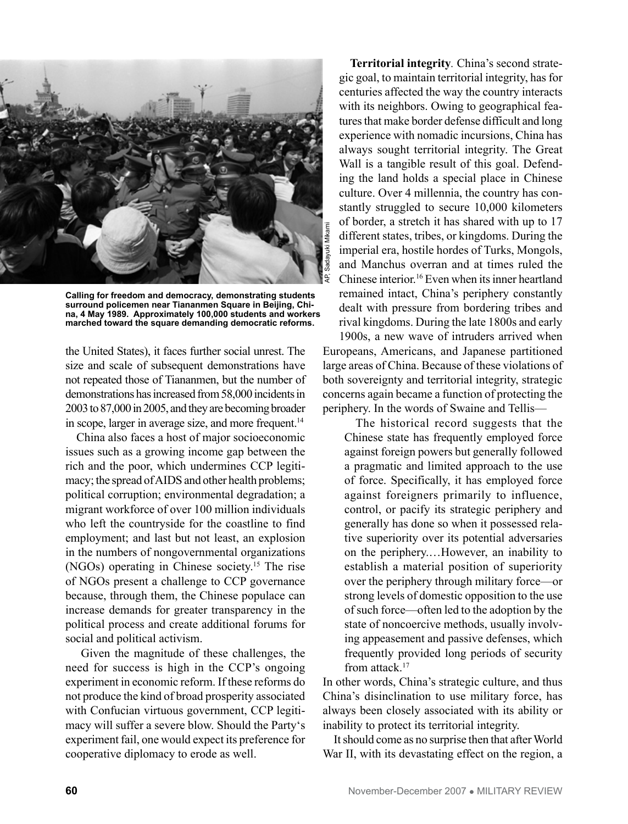

**Calling for freedom and democracy, demonstrating students surround policemen near Tiananmen Square in Beijing, China, 4 May 1989. Approximately 100,000 students and workers marched toward the square demanding democratic reforms.**

the United States), it faces further social unrest. The size and scale of subsequent demonstrations have not repeated those of Tiananmen, but the number of demonstrations has increased from 58,000 incidents in 2003 to 87,000 in 2005, and they are becoming broader in scope, larger in average size, and more frequent.<sup>14</sup>

China also faces a host of major socioeconomic issues such as a growing income gap between the rich and the poor, which undermines CCP legitimacy; the spread of AIDS and other health problems; political corruption; environmental degradation; a migrant workforce of over 100 million individuals who left the countryside for the coastline to find employment; and last but not least, an explosion in the numbers of nongovernmental organizations (NGOs) operating in Chinese society.15 The rise of NGOs present a challenge to CCP governance because, through them, the Chinese populace can increase demands for greater transparency in the political process and create additional forums for social and political activism.

Given the magnitude of these challenges, the need for success is high in the CCP's ongoing experiment in economic reform. If these reforms do not produce the kind of broad prosperity associated with Confucian virtuous government, CCP legitimacy will suffer a severe blow. Should the Party's experiment fail, one would expect its preference for cooperative diplomacy to erode as well.

**Territorial integrity***.* China's second strategic goal, to maintain territorial integrity, has for centuries affected the way the country interacts with its neighbors. Owing to geographical features that make border defense difficult and long experience with nomadic incursions, China has always sought territorial integrity. The Great Wall is a tangible result of this goal. Defending the land holds a special place in Chinese culture. Over 4 millennia, the country has constantly struggled to secure 10,000 kilometers of border, a stretch it has shared with up to 17 different states, tribes, or kingdoms. During the imperial era, hostile hordes of Turks, Mongols, and Manchus overran and at times ruled the Chinese interior.16 Even when its inner heartland remained intact, China's periphery constantly dealt with pressure from bordering tribes and rival kingdoms. During the late 1800s and early 1900s, a new wave of intruders arrived when Europeans, Americans, and Japanese partitioned large areas of China. Because of these violations of both sovereignty and territorial integrity, strategic concerns again became a function of protecting the

The historical record suggests that the Chinese state has frequently employed force against foreign powers but generally followed a pragmatic and limited approach to the use of force. Specifically, it has employed force against foreigners primarily to influence, control, or pacify its strategic periphery and generally has done so when it possessed relative superiority over its potential adversaries on the periphery.…However, an inability to establish a material position of superiority over the periphery through military force—or strong levels of domestic opposition to the use of such force—often led to the adoption by the state of noncoercive methods, usually involving appeasement and passive defenses, which frequently provided long periods of security from attack.<sup>17</sup>

periphery. In the words of Swaine and Tellis—

In other words, China's strategic culture, and thus China's disinclination to use military force, has always been closely associated with its ability or inability to protect its territorial integrity.

It should come as no surprise then that after World War II, with its devastating effect on the region, a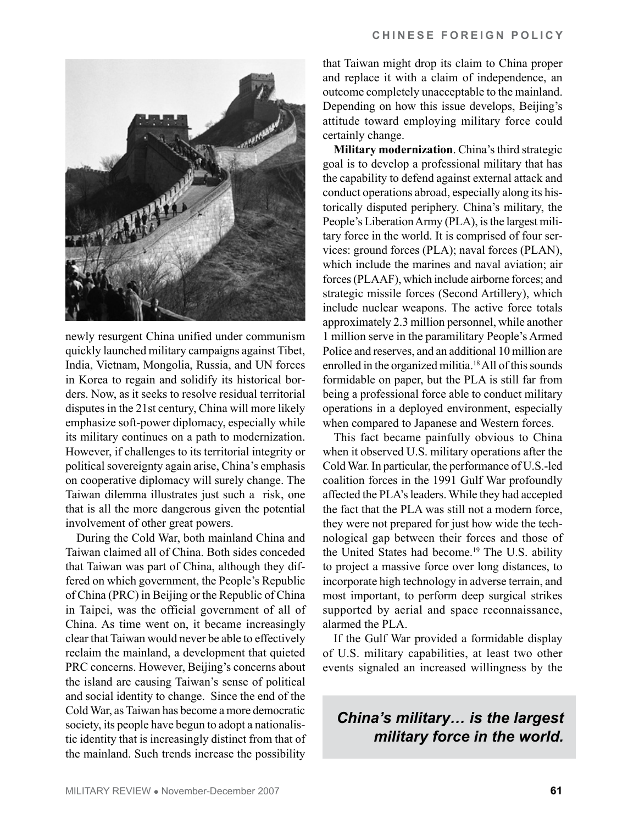

newly resurgent China unified under communism quickly launched military campaigns against Tibet, India, Vietnam, Mongolia, Russia, and UN forces in Korea to regain and solidify its historical borders. Now, as it seeks to resolve residual territorial disputes in the 21st century, China will more likely emphasize soft-power diplomacy, especially while its military continues on a path to modernization. However, if challenges to its territorial integrity or political sovereignty again arise, China's emphasis on cooperative diplomacy will surely change. The Taiwan dilemma illustrates just such a risk, one that is all the more dangerous given the potential involvement of other great powers.

During the Cold War, both mainland China and Taiwan claimed all of China. Both sides conceded that Taiwan was part of China, although they differed on which government, the People's Republic of China (PRC) in Beijing or the Republic of China in Taipei, was the official government of all of China. As time went on, it became increasingly clear that Taiwan would never be able to effectively reclaim the mainland, a development that quieted PRC concerns. However, Beijing's concerns about the island are causing Taiwan's sense of political and social identity to change. Since the end of the Cold War, as Taiwan has become a more democratic society, its people have begun to adopt a nationalistic identity that is increasingly distinct from that of the mainland. Such trends increase the possibility

that Taiwan might drop its claim to China proper and replace it with a claim of independence, an outcome completely unacceptable to the mainland. Depending on how this issue develops, Beijing's attitude toward employing military force could certainly change.

**Military modernization**. China's third strategic goal is to develop a professional military that has the capability to defend against external attack and conduct operations abroad, especially along its historically disputed periphery. China's military, the People's Liberation Army (PLA), is the largest military force in the world. It is comprised of four services: ground forces (PLA); naval forces (PLAN), which include the marines and naval aviation; air forces (PLAAF), which include airborne forces; and strategic missile forces (Second Artillery), which include nuclear weapons. The active force totals approximately 2.3 million personnel, while another 1 million serve in the paramilitary People's Armed Police and reserves, and an additional 10 million are enrolled in the organized militia.<sup>18</sup> All of this sounds formidable on paper, but the PLA is still far from being a professional force able to conduct military operations in a deployed environment, especially when compared to Japanese and Western forces.

This fact became painfully obvious to China when it observed U.S. military operations after the Cold War. In particular, the performance of U.S.-led coalition forces in the 1991 Gulf War profoundly affected the PLA's leaders. While they had accepted the fact that the PLA was still not a modern force, they were not prepared for just how wide the technological gap between their forces and those of the United States had become.<sup>19</sup> The U.S. ability to project a massive force over long distances, to incorporate high technology in adverse terrain, and most important, to perform deep surgical strikes supported by aerial and space reconnaissance, alarmed the PLA.

If the Gulf War provided a formidable display of U.S. military capabilities, at least two other events signaled an increased willingness by the

*China's military… is the largest military force in the world.*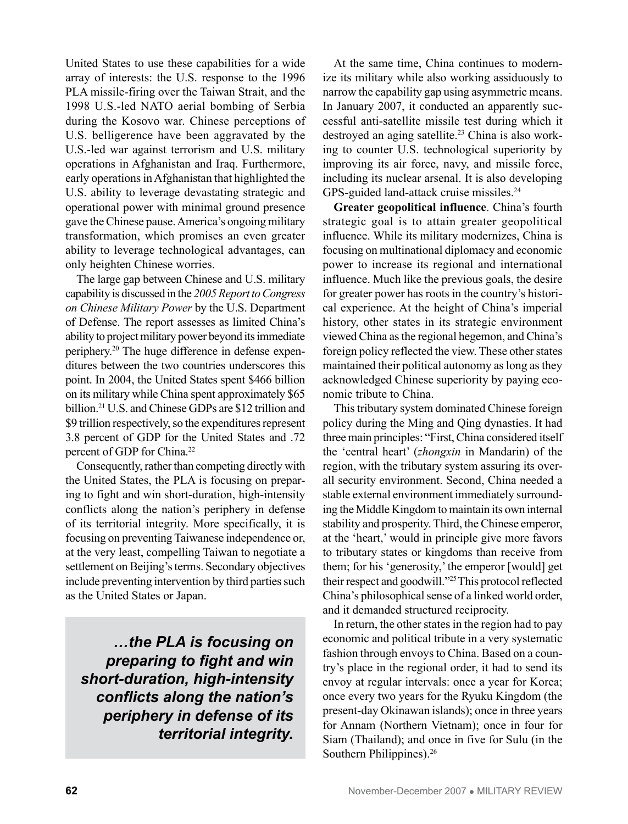United States to use these capabilities for a wide array of interests: the U.S. response to the 1996 PLA missile-firing over the Taiwan Strait, and the 1998 U.S.-led NATO aerial bombing of Serbia during the Kosovo war. Chinese perceptions of U.S. belligerence have been aggravated by the U.S.-led war against terrorism and U.S. military operations in Afghanistan and Iraq. Furthermore, early operations in Afghanistan that highlighted the U.S. ability to leverage devastating strategic and operational power with minimal ground presence gave the Chinese pause. America's ongoing military transformation, which promises an even greater ability to leverage technological advantages, can only heighten Chinese worries.

The large gap between Chinese and U.S. military capability is discussed in the *2005 Report to Congress on Chinese Military Power* by the U.S. Department of Defense. The report assesses as limited China's ability to project military power beyond its immediate periphery.20 The huge difference in defense expenditures between the two countries underscores this point. In 2004, the United States spent \$466 billion on its military while China spent approximately \$65 billion.21 U.S. and Chinese GDPs are \$12 trillion and \$9 trillion respectively, so the expenditures represent 3.8 percent of GDP for the United States and .72 percent of GDP for China.22

Consequently, rather than competing directly with the United States, the PLA is focusing on preparing to fight and win short-duration, high-intensity conflicts along the nation's periphery in defense of its territorial integrity. More specifically, it is focusing on preventing Taiwanese independence or, at the very least, compelling Taiwan to negotiate a settlement on Beijing's terms. Secondary objectives include preventing intervention by third parties such as the United States or Japan.

*…the PLA is focusing on preparing to fight and win short-duration, high-intensity conflicts along the nation's periphery in defense of its territorial integrity.*

At the same time, China continues to modernize its military while also working assiduously to narrow the capability gap using asymmetric means. In January 2007, it conducted an apparently successful anti-satellite missile test during which it destroyed an aging satellite.<sup>23</sup> China is also working to counter U.S. technological superiority by improving its air force, navy, and missile force, including its nuclear arsenal. It is also developing GPS-guided land-attack cruise missiles.<sup>24</sup>

**Greater geopolitical influence**. China's fourth strategic goal is to attain greater geopolitical influence. While its military modernizes, China is focusing on multinational diplomacy and economic power to increase its regional and international influence. Much like the previous goals, the desire for greater power has roots in the country's historical experience. At the height of China's imperial history, other states in its strategic environment viewed China as the regional hegemon, and China's foreign policy reflected the view. These other states maintained their political autonomy as long as they acknowledged Chinese superiority by paying economic tribute to China.

This tributary system dominated Chinese foreign policy during the Ming and Qing dynasties. It had three main principles: "First, China considered itself the 'central heart' (*zhongxin* in Mandarin) of the region, with the tributary system assuring its overall security environment. Second, China needed a stable external environment immediately surrounding the Middle Kingdom to maintain its own internal stability and prosperity. Third, the Chinese emperor, at the 'heart,' would in principle give more favors to tributary states or kingdoms than receive from them; for his 'generosity,' the emperor [would] get their respect and goodwill."25 This protocol reflected China's philosophical sense of a linked world order, and it demanded structured reciprocity.

In return, the other states in the region had to pay economic and political tribute in a very systematic fashion through envoys to China. Based on a country's place in the regional order, it had to send its envoy at regular intervals: once a year for Korea; once every two years for the Ryuku Kingdom (the present-day Okinawan islands); once in three years for Annam (Northern Vietnam); once in four for Siam (Thailand); and once in five for Sulu (in the Southern Philippines).<sup>26</sup>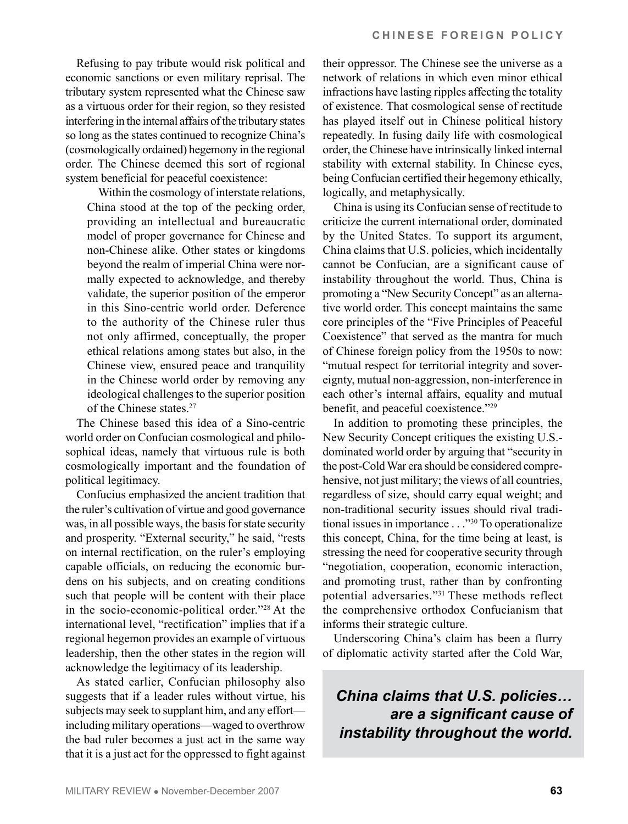Refusing to pay tribute would risk political and economic sanctions or even military reprisal. The tributary system represented what the Chinese saw as a virtuous order for their region, so they resisted interfering in the internal affairs of the tributary states so long as the states continued to recognize China's (cosmologically ordained) hegemony in the regional order. The Chinese deemed this sort of regional system beneficial for peaceful coexistence:

Within the cosmology of interstate relations, China stood at the top of the pecking order, providing an intellectual and bureaucratic model of proper governance for Chinese and non-Chinese alike. Other states or kingdoms beyond the realm of imperial China were normally expected to acknowledge, and thereby validate, the superior position of the emperor in this Sino-centric world order. Deference to the authority of the Chinese ruler thus not only affirmed, conceptually, the proper ethical relations among states but also, in the Chinese view, ensured peace and tranquility in the Chinese world order by removing any ideological challenges to the superior position of the Chinese states.27

The Chinese based this idea of a Sino-centric world order on Confucian cosmological and philosophical ideas, namely that virtuous rule is both cosmologically important and the foundation of political legitimacy.

Confucius emphasized the ancient tradition that the ruler's cultivation of virtue and good governance was, in all possible ways, the basis for state security and prosperity. "External security," he said, "rests on internal rectification, on the ruler's employing capable officials, on reducing the economic burdens on his subjects, and on creating conditions such that people will be content with their place in the socio-economic-political order."28 At the international level, "rectification" implies that if a regional hegemon provides an example of virtuous leadership, then the other states in the region will acknowledge the legitimacy of its leadership.

As stated earlier, Confucian philosophy also suggests that if a leader rules without virtue, his subjects may seek to supplant him, and any effort including military operations—waged to overthrow the bad ruler becomes a just act in the same way that it is a just act for the oppressed to fight against their oppressor. The Chinese see the universe as a network of relations in which even minor ethical infractions have lasting ripples affecting the totality of existence. That cosmological sense of rectitude has played itself out in Chinese political history repeatedly. In fusing daily life with cosmological order, the Chinese have intrinsically linked internal stability with external stability. In Chinese eyes, being Confucian certified their hegemony ethically, logically, and metaphysically.

China is using its Confucian sense of rectitude to criticize the current international order, dominated by the United States. To support its argument, China claims that U.S. policies, which incidentally cannot be Confucian, are a significant cause of instability throughout the world. Thus, China is promoting a "New Security Concept" as an alternative world order. This concept maintains the same core principles of the "Five Principles of Peaceful Coexistence" that served as the mantra for much of Chinese foreign policy from the 1950s to now: "mutual respect for territorial integrity and sovereignty, mutual non-aggression, non-interference in each other's internal affairs, equality and mutual benefit, and peaceful coexistence."29

In addition to promoting these principles, the New Security Concept critiques the existing U.S. dominated world order by arguing that "security in the post-Cold War era should be considered comprehensive, not just military; the views of all countries, regardless of size, should carry equal weight; and non-traditional security issues should rival traditional issues in importance . . ."30 To operationalize this concept, China, for the time being at least, is stressing the need for cooperative security through "negotiation, cooperation, economic interaction, and promoting trust, rather than by confronting potential adversaries."31 These methods reflect the comprehensive orthodox Confucianism that informs their strategic culture.

Underscoring China's claim has been a flurry of diplomatic activity started after the Cold War,

*China claims that U.S. policies… are a significant cause of instability throughout the world.*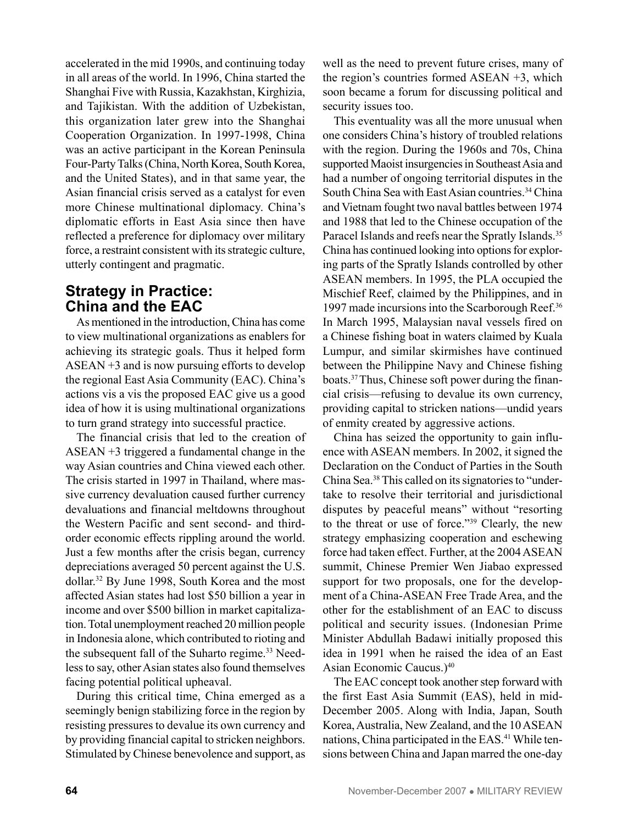accelerated in the mid 1990s, and continuing today in all areas of the world. In 1996, China started the Shanghai Five with Russia, Kazakhstan, Kirghizia, and Tajikistan. With the addition of Uzbekistan, this organization later grew into the Shanghai Cooperation Organization. In 1997-1998, China was an active participant in the Korean Peninsula Four-Party Talks (China, North Korea, South Korea, and the United States), and in that same year, the Asian financial crisis served as a catalyst for even more Chinese multinational diplomacy. China's diplomatic efforts in East Asia since then have reflected a preference for diplomacy over military force, a restraint consistent with its strategic culture, utterly contingent and pragmatic.

## **Strategy in Practice: China and the EAC**

As mentioned in the introduction, China has come to view multinational organizations as enablers for achieving its strategic goals. Thus it helped form ASEAN +3 and is now pursuing efforts to develop the regional East Asia Community (EAC). China's actions vis a vis the proposed EAC give us a good idea of how it is using multinational organizations to turn grand strategy into successful practice.

The financial crisis that led to the creation of ASEAN +3 triggered a fundamental change in the way Asian countries and China viewed each other. The crisis started in 1997 in Thailand, where massive currency devaluation caused further currency devaluations and financial meltdowns throughout the Western Pacific and sent second- and thirdorder economic effects rippling around the world. Just a few months after the crisis began, currency depreciations averaged 50 percent against the U.S. dollar.32 By June 1998, South Korea and the most affected Asian states had lost \$50 billion a year in income and over \$500 billion in market capitalization. Total unemployment reached 20 million people in Indonesia alone, which contributed to rioting and the subsequent fall of the Suharto regime.<sup>33</sup> Needless to say, other Asian states also found themselves facing potential political upheaval.

During this critical time, China emerged as a seemingly benign stabilizing force in the region by resisting pressures to devalue its own currency and by providing financial capital to stricken neighbors. Stimulated by Chinese benevolence and support, as well as the need to prevent future crises, many of the region's countries formed ASEAN +3, which soon became a forum for discussing political and security issues too.

This eventuality was all the more unusual when one considers China's history of troubled relations with the region. During the 1960s and 70s, China supported Maoist insurgencies in Southeast Asia and had a number of ongoing territorial disputes in the South China Sea with East Asian countries.<sup>34</sup> China and Vietnam fought two naval battles between 1974 and 1988 that led to the Chinese occupation of the Paracel Islands and reefs near the Spratly Islands.<sup>35</sup> China has continued looking into options for exploring parts of the Spratly Islands controlled by other ASEAN members. In 1995, the PLA occupied the Mischief Reef, claimed by the Philippines, and in 1997 made incursions into the Scarborough Reef.<sup>36</sup> In March 1995, Malaysian naval vessels fired on a Chinese fishing boat in waters claimed by Kuala Lumpur, and similar skirmishes have continued between the Philippine Navy and Chinese fishing boats.37 Thus, Chinese soft power during the financial crisis—refusing to devalue its own currency, providing capital to stricken nations—undid years of enmity created by aggressive actions.

China has seized the opportunity to gain influence with ASEAN members. In 2002, it signed the Declaration on the Conduct of Parties in the South China Sea.38 This called on its signatories to "undertake to resolve their territorial and jurisdictional disputes by peaceful means" without "resorting to the threat or use of force."39 Clearly, the new strategy emphasizing cooperation and eschewing force had taken effect. Further, at the 2004 ASEAN summit, Chinese Premier Wen Jiabao expressed support for two proposals, one for the development of a China-ASEAN Free Trade Area, and the other for the establishment of an EAC to discuss political and security issues. (Indonesian Prime Minister Abdullah Badawi initially proposed this idea in 1991 when he raised the idea of an East Asian Economic Caucus.)<sup>40</sup>

The EAC concept took another step forward with the first East Asia Summit (EAS), held in mid-December 2005. Along with India, Japan, South Korea, Australia, New Zealand, and the 10 ASEAN nations, China participated in the EAS. 41 While tensions between China and Japan marred the one-day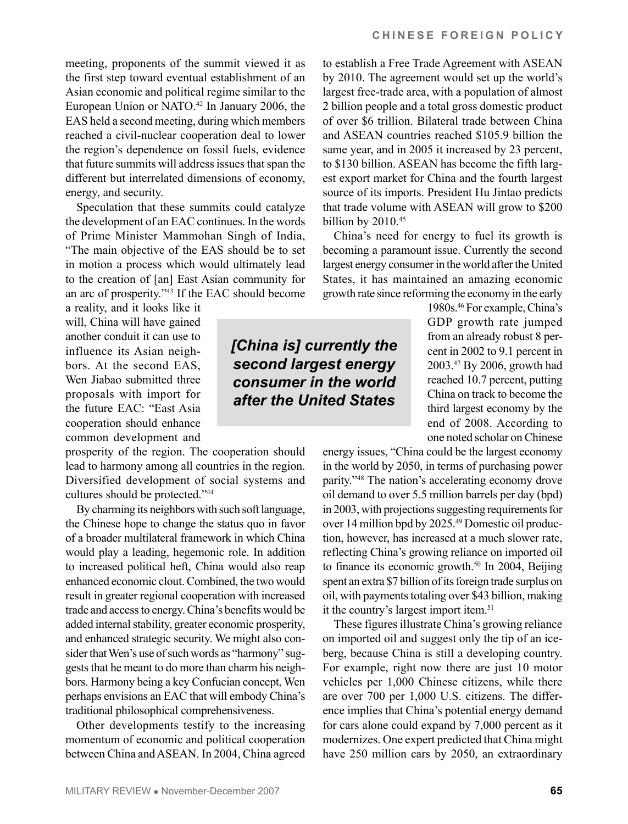meeting, proponents of the summit viewed it as the first step toward eventual establishment of an Asian economic and political regime similar to the European Union or NATO. <sup>42</sup> In January 2006, the EAS held a second meeting, during which members reached a civil-nuclear cooperation deal to lower the region's dependence on fossil fuels, evidence that future summits will address issues that span the different but interrelated dimensions of economy, energy, and security.

Speculation that these summits could catalyze the development of an EAC continues. In the words of Prime Minister Mammohan Singh of India, "The main objective of the EAS should be to set in motion a process which would ultimately lead to the creation of [an] East Asian community for an arc of prosperity."43 If the EAC should become

a reality, and it looks like it will, China will have gained another conduit it can use to influence its Asian neighbors. At the second EAS, Wen Jiabao submitted three proposals with import for the future EAC: "East Asia cooperation should enhance common development and

prosperity of the region. The cooperation should lead to harmony among all countries in the region. Diversified development of social systems and cultures should be protected."44

By charming its neighbors with such soft language, the Chinese hope to change the status quo in favor of a broader multilateral framework in which China would play a leading, hegemonic role. In addition to increased political heft, China would also reap enhanced economic clout. Combined, the two would result in greater regional cooperation with increased trade and access to energy. China's benefits would be added internal stability, greater economic prosperity, and enhanced strategic security. We might also consider that Wen's use of such words as "harmony" suggests that he meant to do more than charm his neighbors. Harmony being a key Confucian concept, Wen perhaps envisions an EAC that will embody China's traditional philosophical comprehensiveness.

Other developments testify to the increasing momentum of economic and political cooperation between China and ASEAN. In 2004, China agreed

*[China is] currently the second largest energy consumer in the world after the United States* 

to establish a Free Trade Agreement with ASEAN by 2010. The agreement would set up the world's largest free-trade area, with a population of almost 2 billion people and a total gross domestic product of over \$6 trillion. Bilateral trade between China and ASEAN countries reached \$105.9 billion the same year, and in 2005 it increased by 23 percent, to \$130 billion. ASEAN has become the fifth largest export market for China and the fourth largest source of its imports. President Hu Jintao predicts that trade volume with ASEAN will grow to \$200 billion by 2010.<sup>45</sup>

China's need for energy to fuel its growth is becoming a paramount issue. Currently the second largest energy consumer in the world after the United States, it has maintained an amazing economic growth rate since reforming the economy in the early

1980s.46 For example, China's GDP growth rate jumped from an already robust 8 percent in 2002 to 9.1 percent in 2003.47 By 2006, growth had reached 10.7 percent, putting China on track to become the third largest economy by the end of 2008. According to one noted scholar on Chinese

energy issues, "China could be the largest economy in the world by 2050, in terms of purchasing power parity."48 The nation's accelerating economy drove oil demand to over 5.5 million barrels per day (bpd) in 2003, with projections suggesting requirements for over 14 million bpd by 2025.49 Domestic oil production, however, has increased at a much slower rate, reflecting China's growing reliance on imported oil to finance its economic growth.<sup>50</sup> In 2004, Beijing spent an extra \$7 billion of its foreign trade surplus on oil, with payments totaling over \$43 billion, making it the country's largest import item.<sup>51</sup>

These figures illustrate China's growing reliance on imported oil and suggest only the tip of an iceberg, because China is still a developing country. For example, right now there are just 10 motor vehicles per 1,000 Chinese citizens, while there are over 700 per 1,000 U.S. citizens. The difference implies that China's potential energy demand for cars alone could expand by 7,000 percent as it modernizes. One expert predicted that China might have 250 million cars by 2050, an extraordinary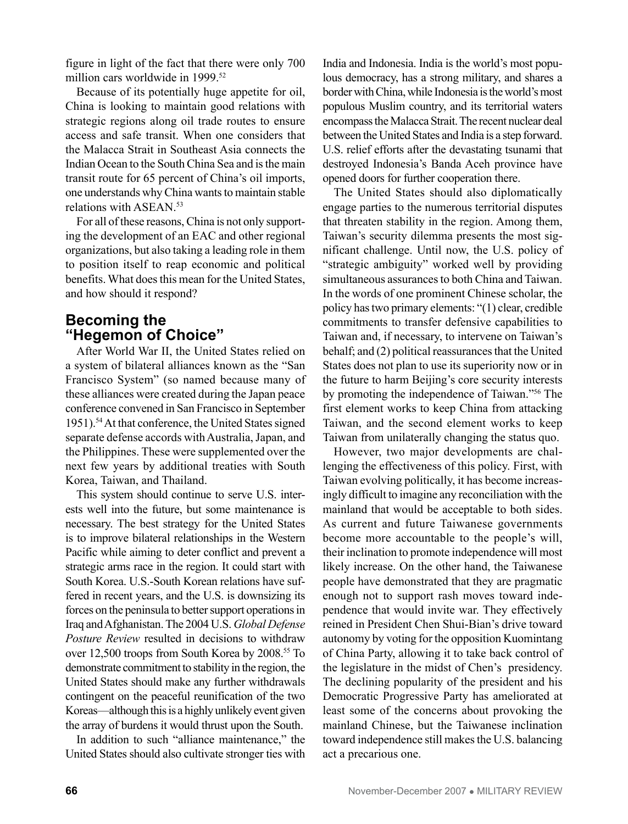figure in light of the fact that there were only 700 million cars worldwide in 1999.<sup>52</sup>

Because of its potentially huge appetite for oil, China is looking to maintain good relations with strategic regions along oil trade routes to ensure access and safe transit. When one considers that the Malacca Strait in Southeast Asia connects the Indian Ocean to the South China Sea and is the main transit route for 65 percent of China's oil imports, one understands why China wants to maintain stable relations with ASEAN. 53

For all of these reasons, China is not only supporting the development of an EAC and other regional organizations, but also taking a leading role in them to position itself to reap economic and political benefits. What does this mean for the United States, and how should it respond?

#### **Becoming the "Hegemon of Choice"**

After World War II, the United States relied on a system of bilateral alliances known as the "San Francisco System" (so named because many of these alliances were created during the Japan peace conference convened in San Francisco in September 1951).54 At that conference, the United States signed separate defense accords with Australia, Japan, and the Philippines. These were supplemented over the next few years by additional treaties with South Korea, Taiwan, and Thailand.

This system should continue to serve U.S. interests well into the future, but some maintenance is necessary. The best strategy for the United States is to improve bilateral relationships in the Western Pacific while aiming to deter conflict and prevent a strategic arms race in the region. It could start with South Korea. U.S.-South Korean relations have suffered in recent years, and the U.S. is downsizing its forces on the peninsula to better support operations in Iraq and Afghanistan. The 2004 U.S. *Global Defense Posture Review* resulted in decisions to withdraw over 12,500 troops from South Korea by 2008.<sup>55</sup> To demonstrate commitment to stability in the region, the United States should make any further withdrawals contingent on the peaceful reunification of the two Koreas—although this is a highly unlikely event given the array of burdens it would thrust upon the South.

In addition to such "alliance maintenance," the United States should also cultivate stronger ties with India and Indonesia. India is the world's most populous democracy, has a strong military, and shares a border with China, while Indonesia is the world's most populous Muslim country, and its territorial waters encompass the Malacca Strait. The recent nuclear deal between the United States and India is a step forward. U.S. relief efforts after the devastating tsunami that destroyed Indonesia's Banda Aceh province have opened doors for further cooperation there.

The United States should also diplomatically engage parties to the numerous territorial disputes that threaten stability in the region. Among them, Taiwan's security dilemma presents the most significant challenge. Until now, the U.S. policy of "strategic ambiguity" worked well by providing simultaneous assurances to both China and Taiwan. In the words of one prominent Chinese scholar, the policy has two primary elements: "(1) clear, credible commitments to transfer defensive capabilities to Taiwan and, if necessary, to intervene on Taiwan's behalf; and (2) political reassurances that the United States does not plan to use its superiority now or in the future to harm Beijing's core security interests by promoting the independence of Taiwan."56 The first element works to keep China from attacking Taiwan, and the second element works to keep Taiwan from unilaterally changing the status quo.

However, two major developments are challenging the effectiveness of this policy. First, with Taiwan evolving politically, it has become increasingly difficult to imagine any reconciliation with the mainland that would be acceptable to both sides. As current and future Taiwanese governments become more accountable to the people's will, their inclination to promote independence will most likely increase. On the other hand, the Taiwanese people have demonstrated that they are pragmatic enough not to support rash moves toward independence that would invite war. They effectively reined in President Chen Shui-Bian's drive toward autonomy by voting for the opposition Kuomintang of China Party, allowing it to take back control of the legislature in the midst of Chen's presidency. The declining popularity of the president and his Democratic Progressive Party has ameliorated at least some of the concerns about provoking the mainland Chinese, but the Taiwanese inclination toward independence still makes the U.S. balancing act a precarious one.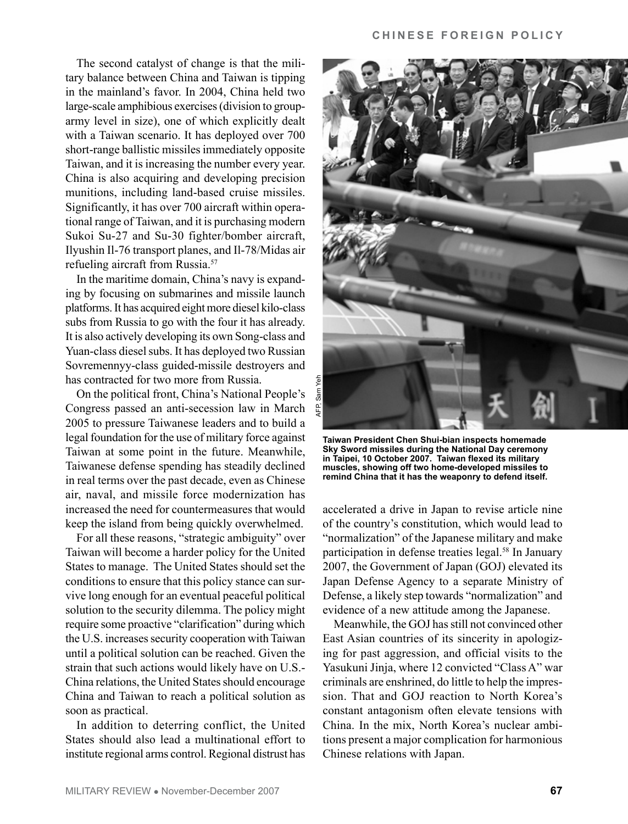The second catalyst of change is that the military balance between China and Taiwan is tipping in the mainland's favor. In 2004, China held two large-scale amphibious exercises (division to grouparmy level in size), one of which explicitly dealt with a Taiwan scenario. It has deployed over 700 short-range ballistic missiles immediately opposite Taiwan, and it is increasing the number every year. China is also acquiring and developing precision munitions, including land-based cruise missiles. Significantly, it has over 700 aircraft within operational range of Taiwan, and it is purchasing modern Sukoi Su-27 and Su-30 fighter/bomber aircraft, Ilyushin Il-76 transport planes, and Il-78/Midas air refueling aircraft from Russia.57

In the maritime domain, China's navy is expanding by focusing on submarines and missile launch platforms. It has acquired eight more diesel kilo-class subs from Russia to go with the four it has already. It is also actively developing its own Song-class and Yuan-class diesel subs. It has deployed two Russian Sovremennyy-class guided-missile destroyers and has contracted for two more from Russia.

On the political front, China's National People's Congress passed an anti-secession law in March 2005 to pressure Taiwanese leaders and to build a legal foundation for the use of military force against Taiwan at some point in the future. Meanwhile, Taiwanese defense spending has steadily declined in real terms over the past decade, even as Chinese air, naval, and missile force modernization has increased the need for countermeasures that would keep the island from being quickly overwhelmed.

For all these reasons, "strategic ambiguity" over Taiwan will become a harder policy for the United States to manage. The United States should set the conditions to ensure that this policy stance can survive long enough for an eventual peaceful political solution to the security dilemma. The policy might require some proactive "clarification" during which the U.S. increases security cooperation with Taiwan until a political solution can be reached. Given the strain that such actions would likely have on U.S.- China relations, the United States should encourage China and Taiwan to reach a political solution as soon as practical.

In addition to deterring conflict, the United States should also lead a multinational effort to institute regional arms control. Regional distrust has



**Taiwan President Chen Shui-bian inspects homemade Sky Sword missiles during the National Day ceremony in Taipei, 10 October 2007. Taiwan flexed its military muscles, showing off two home-developed missiles to remind China that it has the weaponry to defend itself.** 

accelerated a drive in Japan to revise article nine of the country's constitution, which would lead to "normalization" of the Japanese military and make participation in defense treaties legal.<sup>58</sup> In January 2007, the Government of Japan (GOJ) elevated its Japan Defense Agency to a separate Ministry of Defense, a likely step towards "normalization" and evidence of a new attitude among the Japanese.

Meanwhile, the GOJ has still not convinced other East Asian countries of its sincerity in apologizing for past aggression, and official visits to the Yasukuni Jinja, where 12 convicted "Class A" war criminals are enshrined, do little to help the impression. That and GOJ reaction to North Korea's constant antagonism often elevate tensions with China. In the mix, North Korea's nuclear ambitions present a major complication for harmonious Chinese relations with Japan.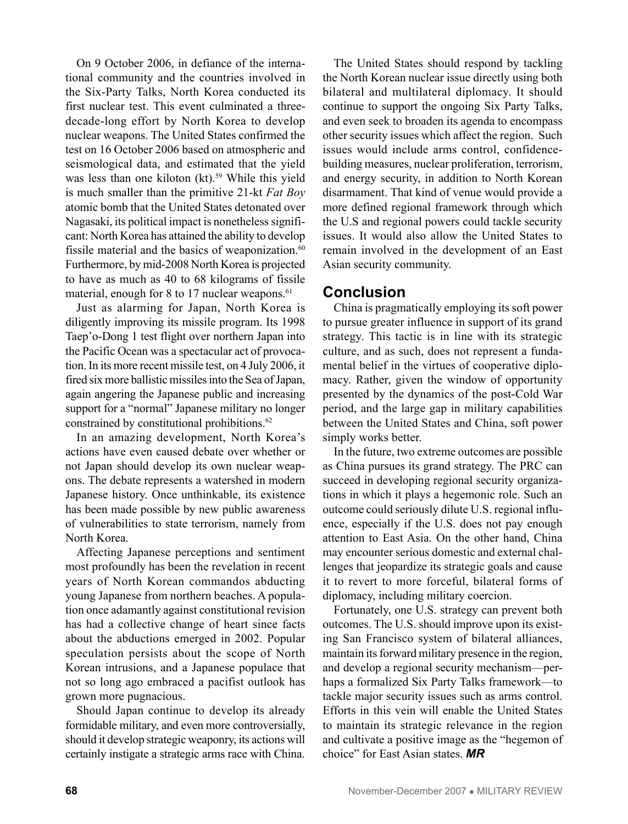On 9 October 2006, in defiance of the international community and the countries involved in the Six-Party Talks, North Korea conducted its first nuclear test. This event culminated a threedecade-long effort by North Korea to develop nuclear weapons. The United States confirmed the test on 16 October 2006 based on atmospheric and seismological data, and estimated that the yield was less than one kiloton (kt).<sup>59</sup> While this yield is much smaller than the primitive 21-kt *Fat Boy*  atomic bomb that the United States detonated over Nagasaki, its political impact is nonetheless significant: North Korea has attained the ability to develop fissile material and the basics of weaponization.<sup>60</sup> Furthermore, by mid-2008 North Korea is projected to have as much as 40 to 68 kilograms of fissile material, enough for 8 to 17 nuclear weapons.<sup>61</sup>

Just as alarming for Japan, North Korea is diligently improving its missile program. Its 1998 Taep'o-Dong 1 test flight over northern Japan into the Pacific Ocean was a spectacular act of provocation. In its more recent missile test, on 4 July 2006, it fired six more ballistic missiles into the Sea of Japan, again angering the Japanese public and increasing support for a "normal" Japanese military no longer constrained by constitutional prohibitions.<sup>62</sup>

In an amazing development, North Korea's actions have even caused debate over whether or not Japan should develop its own nuclear weapons. The debate represents a watershed in modern Japanese history. Once unthinkable, its existence has been made possible by new public awareness of vulnerabilities to state terrorism, namely from North Korea.

Affecting Japanese perceptions and sentiment most profoundly has been the revelation in recent years of North Korean commandos abducting young Japanese from northern beaches. A population once adamantly against constitutional revision has had a collective change of heart since facts about the abductions emerged in 2002. Popular speculation persists about the scope of North Korean intrusions, and a Japanese populace that not so long ago embraced a pacifist outlook has grown more pugnacious.

Should Japan continue to develop its already formidable military, and even more controversially, should it develop strategic weaponry, its actions will certainly instigate a strategic arms race with China.

The United States should respond by tackling the North Korean nuclear issue directly using both bilateral and multilateral diplomacy. It should continue to support the ongoing Six Party Talks, and even seek to broaden its agenda to encompass other security issues which affect the region. Such issues would include arms control, confidencebuilding measures, nuclear proliferation, terrorism, and energy security, in addition to North Korean disarmament. That kind of venue would provide a more defined regional framework through which the U.S and regional powers could tackle security issues. It would also allow the United States to remain involved in the development of an East Asian security community.

#### **Conclusion**

China is pragmatically employing its soft power to pursue greater influence in support of its grand strategy. This tactic is in line with its strategic culture, and as such, does not represent a fundamental belief in the virtues of cooperative diplomacy. Rather, given the window of opportunity presented by the dynamics of the post-Cold War period, and the large gap in military capabilities between the United States and China, soft power simply works better.

In the future, two extreme outcomes are possible as China pursues its grand strategy. The PRC can succeed in developing regional security organizations in which it plays a hegemonic role. Such an outcome could seriously dilute U.S. regional influence, especially if the U.S. does not pay enough attention to East Asia. On the other hand, China may encounter serious domestic and external challenges that jeopardize its strategic goals and cause it to revert to more forceful, bilateral forms of diplomacy, including military coercion.

Fortunately, one U.S. strategy can prevent both outcomes. The U.S. should improve upon its existing San Francisco system of bilateral alliances, maintain its forward military presence in the region, and develop a regional security mechanism—perhaps a formalized Six Party Talks framework—to tackle major security issues such as arms control. Efforts in this vein will enable the United States to maintain its strategic relevance in the region and cultivate a positive image as the "hegemon of choice" for East Asian states. *MR*